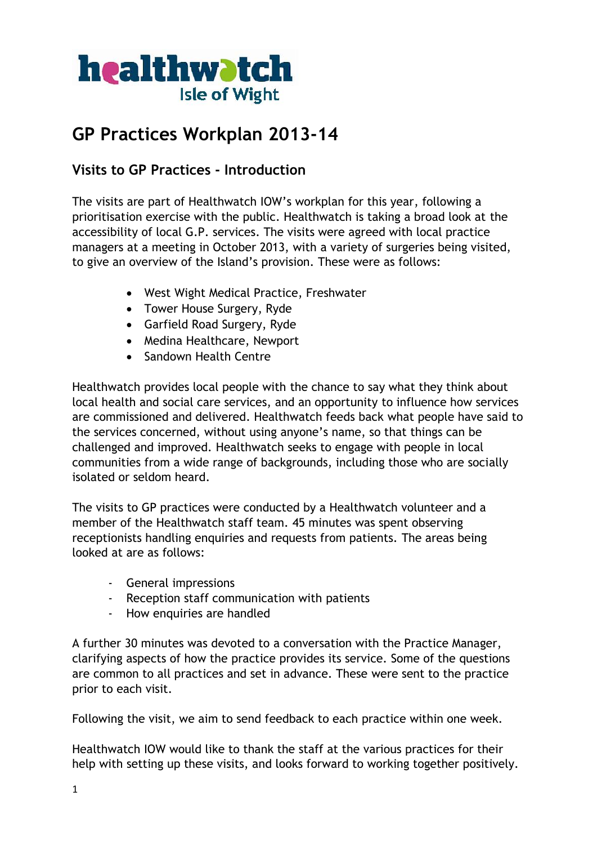

# **GP Practices Workplan 2013-14**

## **Visits to GP Practices - Introduction**

The visits are part of Healthwatch IOW's workplan for this year, following a prioritisation exercise with the public. Healthwatch is taking a broad look at the accessibility of local G.P. services. The visits were agreed with local practice managers at a meeting in October 2013, with a variety of surgeries being visited, to give an overview of the Island's provision. These were as follows:

- West Wight Medical Practice, Freshwater
- Tower House Surgery, Ryde
- Garfield Road Surgery, Ryde
- Medina Healthcare, Newport
- Sandown Health Centre

Healthwatch provides local people with the chance to say what they think about local health and social care services, and an opportunity to influence how services are commissioned and delivered. Healthwatch feeds back what people have said to the services concerned, without using anyone's name, so that things can be challenged and improved. Healthwatch seeks to engage with people in local communities from a wide range of backgrounds, including those who are socially isolated or seldom heard.

The visits to GP practices were conducted by a Healthwatch volunteer and a member of the Healthwatch staff team. 45 minutes was spent observing receptionists handling enquiries and requests from patients. The areas being looked at are as follows:

- General impressions
- Reception staff communication with patients
- How enquiries are handled

A further 30 minutes was devoted to a conversation with the Practice Manager, clarifying aspects of how the practice provides its service. Some of the questions are common to all practices and set in advance. These were sent to the practice prior to each visit.

Following the visit, we aim to send feedback to each practice within one week.

Healthwatch IOW would like to thank the staff at the various practices for their help with setting up these visits, and looks forward to working together positively.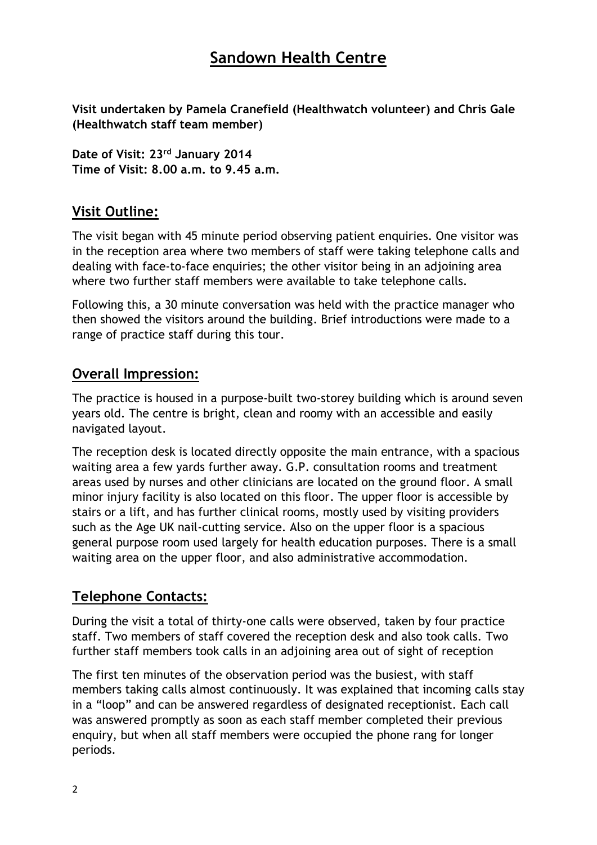## **Sandown Health Centre**

**Visit undertaken by Pamela Cranefield (Healthwatch volunteer) and Chris Gale (Healthwatch staff team member)**

**Date of Visit: 23rd January 2014 Time of Visit: 8.00 a.m. to 9.45 a.m.**

## **Visit Outline:**

The visit began with 45 minute period observing patient enquiries. One visitor was in the reception area where two members of staff were taking telephone calls and dealing with face-to-face enquiries; the other visitor being in an adjoining area where two further staff members were available to take telephone calls.

Following this, a 30 minute conversation was held with the practice manager who then showed the visitors around the building. Brief introductions were made to a range of practice staff during this tour.

## **Overall Impression:**

The practice is housed in a purpose-built two-storey building which is around seven years old. The centre is bright, clean and roomy with an accessible and easily navigated layout.

The reception desk is located directly opposite the main entrance, with a spacious waiting area a few yards further away. G.P. consultation rooms and treatment areas used by nurses and other clinicians are located on the ground floor. A small minor injury facility is also located on this floor. The upper floor is accessible by stairs or a lift, and has further clinical rooms, mostly used by visiting providers such as the Age UK nail-cutting service. Also on the upper floor is a spacious general purpose room used largely for health education purposes. There is a small waiting area on the upper floor, and also administrative accommodation.

## **Telephone Contacts:**

During the visit a total of thirty-one calls were observed, taken by four practice staff. Two members of staff covered the reception desk and also took calls. Two further staff members took calls in an adjoining area out of sight of reception

The first ten minutes of the observation period was the busiest, with staff members taking calls almost continuously. It was explained that incoming calls stay in a "loop" and can be answered regardless of designated receptionist. Each call was answered promptly as soon as each staff member completed their previous enquiry, but when all staff members were occupied the phone rang for longer periods.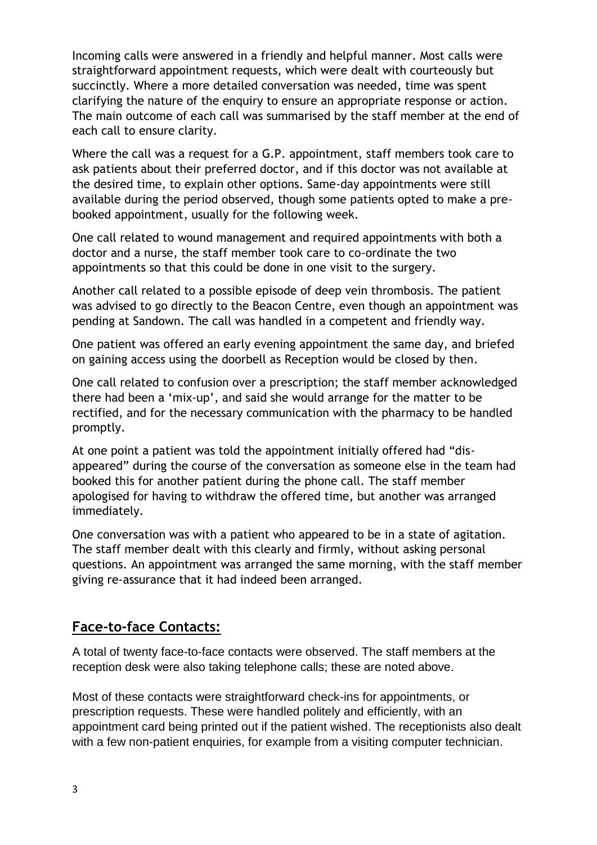Incoming calls were answered in a friendly and helpful manner. Most calls were straightforward appointment requests, which were dealt with courteously but succinctly. Where a more detailed conversation was needed, time was spent clarifying the nature of the enquiry to ensure an appropriate response or action. The main outcome of each call was summarised by the staff member at the end of each call to ensure clarity.

Where the call was a request for a G.P. appointment, staff members took care to ask patients about their preferred doctor, and if this doctor was not available at the desired time, to explain other options. Same-day appointments were still available during the period observed, though some patients opted to make a prebooked appointment, usually for the following week.

One call related to wound management and required appointments with both a doctor and a nurse, the staff member took care to co-ordinate the two appointments so that this could be done in one visit to the surgery.

Another call related to a possible episode of deep vein thrombosis. The patient was advised to go directly to the Beacon Centre, even though an appointment was pending at Sandown. The call was handled in a competent and friendly way.

One patient was offered an early evening appointment the same day, and briefed on gaining access using the doorbell as Reception would be closed by then.

One call related to confusion over a prescription; the staff member acknowledged there had been a 'mix-up', and said she would arrange for the matter to be rectified, and for the necessary communication with the pharmacy to be handled promptly.

At one point a patient was told the appointment initially offered had "disappeared" during the course of the conversation as someone else in the team had booked this for another patient during the phone call. The staff member apologised for having to withdraw the offered time, but another was arranged immediately.

One conversation was with a patient who appeared to be in a state of agitation. The staff member dealt with this clearly and firmly, without asking personal questions. An appointment was arranged the same morning, with the staff member giving re-assurance that it had indeed been arranged.

#### **Face-to-face Contacts:**

A total of twenty face-to-face contacts were observed. The staff members at the reception desk were also taking telephone calls; these are noted above.

Most of these contacts were straightforward check-ins for appointments, or prescription requests. These were handled politely and efficiently, with an appointment card being printed out if the patient wished. The receptionists also dealt with a few non-patient enquiries, for example from a visiting computer technician.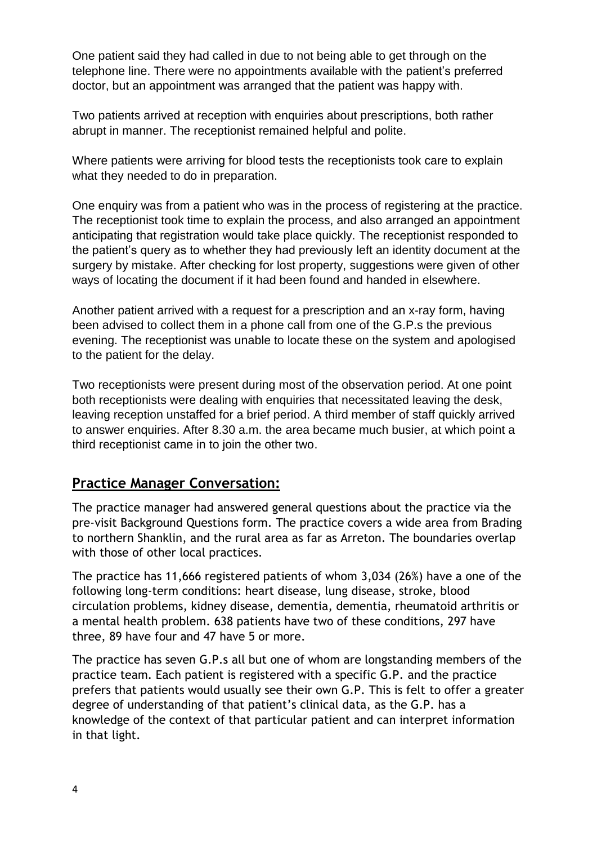One patient said they had called in due to not being able to get through on the telephone line. There were no appointments available with the patient's preferred doctor, but an appointment was arranged that the patient was happy with.

Two patients arrived at reception with enquiries about prescriptions, both rather abrupt in manner. The receptionist remained helpful and polite.

Where patients were arriving for blood tests the receptionists took care to explain what they needed to do in preparation.

One enquiry was from a patient who was in the process of registering at the practice. The receptionist took time to explain the process, and also arranged an appointment anticipating that registration would take place quickly. The receptionist responded to the patient's query as to whether they had previously left an identity document at the surgery by mistake. After checking for lost property, suggestions were given of other ways of locating the document if it had been found and handed in elsewhere.

Another patient arrived with a request for a prescription and an x-ray form, having been advised to collect them in a phone call from one of the G.P.s the previous evening. The receptionist was unable to locate these on the system and apologised to the patient for the delay.

Two receptionists were present during most of the observation period. At one point both receptionists were dealing with enquiries that necessitated leaving the desk, leaving reception unstaffed for a brief period. A third member of staff quickly arrived to answer enquiries. After 8.30 a.m. the area became much busier, at which point a third receptionist came in to join the other two.

## **Practice Manager Conversation:**

The practice manager had answered general questions about the practice via the pre-visit Background Questions form. The practice covers a wide area from Brading to northern Shanklin, and the rural area as far as Arreton. The boundaries overlap with those of other local practices.

The practice has 11,666 registered patients of whom 3,034 (26%) have a one of the following long-term conditions: heart disease, lung disease, stroke, blood circulation problems, kidney disease, dementia, dementia, rheumatoid arthritis or a mental health problem. 638 patients have two of these conditions, 297 have three, 89 have four and 47 have 5 or more.

The practice has seven G.P.s all but one of whom are longstanding members of the practice team. Each patient is registered with a specific G.P. and the practice prefers that patients would usually see their own G.P. This is felt to offer a greater degree of understanding of that patient's clinical data, as the G.P. has a knowledge of the context of that particular patient and can interpret information in that light.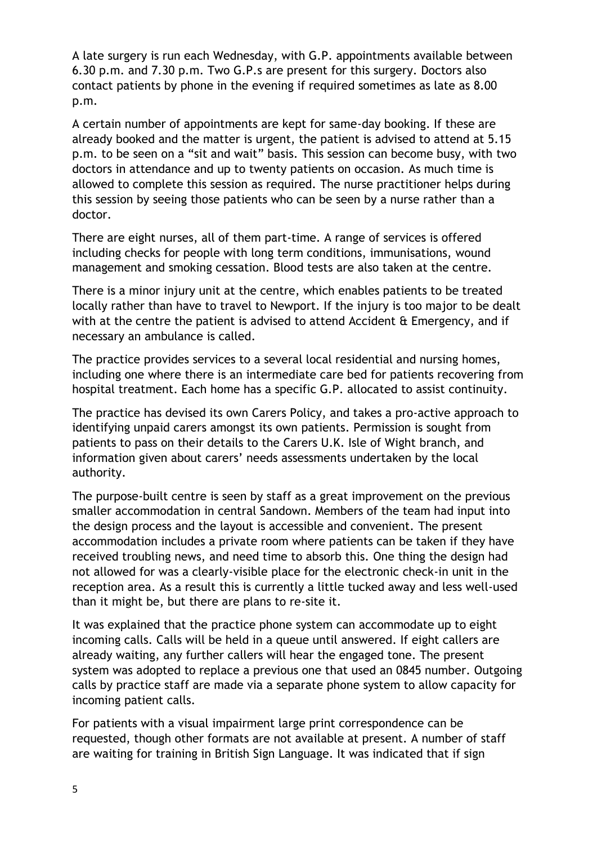A late surgery is run each Wednesday, with G.P. appointments available between 6.30 p.m. and 7.30 p.m. Two G.P.s are present for this surgery. Doctors also contact patients by phone in the evening if required sometimes as late as 8.00 p.m.

A certain number of appointments are kept for same-day booking. If these are already booked and the matter is urgent, the patient is advised to attend at 5.15 p.m. to be seen on a "sit and wait" basis. This session can become busy, with two doctors in attendance and up to twenty patients on occasion. As much time is allowed to complete this session as required. The nurse practitioner helps during this session by seeing those patients who can be seen by a nurse rather than a doctor.

There are eight nurses, all of them part-time. A range of services is offered including checks for people with long term conditions, immunisations, wound management and smoking cessation. Blood tests are also taken at the centre.

There is a minor injury unit at the centre, which enables patients to be treated locally rather than have to travel to Newport. If the injury is too major to be dealt with at the centre the patient is advised to attend Accident & Emergency, and if necessary an ambulance is called.

The practice provides services to a several local residential and nursing homes, including one where there is an intermediate care bed for patients recovering from hospital treatment. Each home has a specific G.P. allocated to assist continuity.

The practice has devised its own Carers Policy, and takes a pro-active approach to identifying unpaid carers amongst its own patients. Permission is sought from patients to pass on their details to the Carers U.K. Isle of Wight branch, and information given about carers' needs assessments undertaken by the local authority.

The purpose-built centre is seen by staff as a great improvement on the previous smaller accommodation in central Sandown. Members of the team had input into the design process and the layout is accessible and convenient. The present accommodation includes a private room where patients can be taken if they have received troubling news, and need time to absorb this. One thing the design had not allowed for was a clearly-visible place for the electronic check-in unit in the reception area. As a result this is currently a little tucked away and less well-used than it might be, but there are plans to re-site it.

It was explained that the practice phone system can accommodate up to eight incoming calls. Calls will be held in a queue until answered. If eight callers are already waiting, any further callers will hear the engaged tone. The present system was adopted to replace a previous one that used an 0845 number. Outgoing calls by practice staff are made via a separate phone system to allow capacity for incoming patient calls.

For patients with a visual impairment large print correspondence can be requested, though other formats are not available at present. A number of staff are waiting for training in British Sign Language. It was indicated that if sign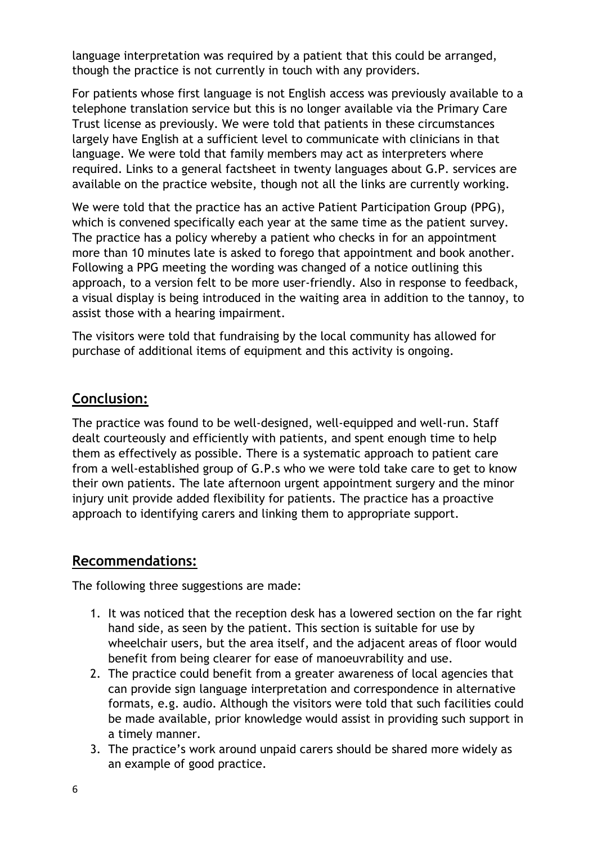language interpretation was required by a patient that this could be arranged, though the practice is not currently in touch with any providers.

For patients whose first language is not English access was previously available to a telephone translation service but this is no longer available via the Primary Care Trust license as previously. We were told that patients in these circumstances largely have English at a sufficient level to communicate with clinicians in that language. We were told that family members may act as interpreters where required. Links to a general factsheet in twenty languages about G.P. services are available on the practice website, though not all the links are currently working.

We were told that the practice has an active Patient Participation Group (PPG), which is convened specifically each year at the same time as the patient survey. The practice has a policy whereby a patient who checks in for an appointment more than 10 minutes late is asked to forego that appointment and book another. Following a PPG meeting the wording was changed of a notice outlining this approach, to a version felt to be more user-friendly. Also in response to feedback, a visual display is being introduced in the waiting area in addition to the tannoy, to assist those with a hearing impairment.

The visitors were told that fundraising by the local community has allowed for purchase of additional items of equipment and this activity is ongoing.

## **Conclusion:**

The practice was found to be well-designed, well-equipped and well-run. Staff dealt courteously and efficiently with patients, and spent enough time to help them as effectively as possible. There is a systematic approach to patient care from a well-established group of G.P.s who we were told take care to get to know their own patients. The late afternoon urgent appointment surgery and the minor injury unit provide added flexibility for patients. The practice has a proactive approach to identifying carers and linking them to appropriate support.

#### **Recommendations:**

The following three suggestions are made:

- 1. It was noticed that the reception desk has a lowered section on the far right hand side, as seen by the patient. This section is suitable for use by wheelchair users, but the area itself, and the adjacent areas of floor would benefit from being clearer for ease of manoeuvrability and use.
- 2. The practice could benefit from a greater awareness of local agencies that can provide sign language interpretation and correspondence in alternative formats, e.g. audio. Although the visitors were told that such facilities could be made available, prior knowledge would assist in providing such support in a timely manner.
- 3. The practice's work around unpaid carers should be shared more widely as an example of good practice.